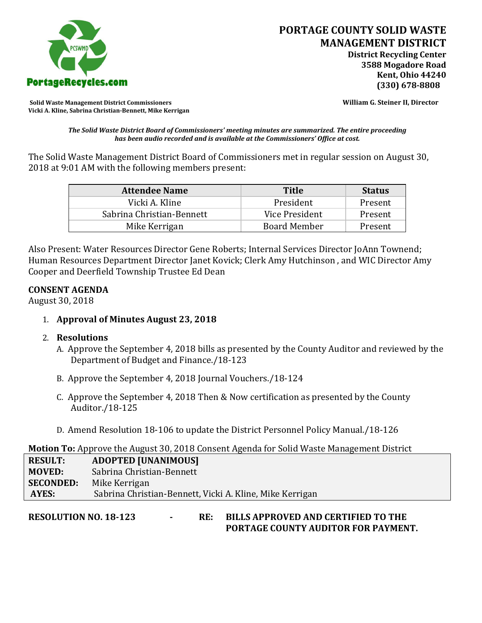

**Solid Waste Management District Commissioners William G. Steiner II, Director Vicki A. Kline, Sabrina Christian-Bennett, Mike Kerrigan** 

*The Solid Waste District Board of Commissioners' meeting minutes are summarized. The entire proceeding has been audio recorded and is available at the Commissioners' Office at cost.*

The Solid Waste Management District Board of Commissioners met in regular session on August 30, 2018 at 9:01 AM with the following members present:

| <b>Attendee Name</b>      | <b>Title</b>        | <b>Status</b> |
|---------------------------|---------------------|---------------|
| Vicki A. Kline            | President           | Present       |
| Sabrina Christian-Bennett | Vice President      | Present       |
| Mike Kerrigan             | <b>Board Member</b> | Present       |

Also Present: Water Resources Director Gene Roberts; Internal Services Director JoAnn Townend; Human Resources Department Director Janet Kovick; Clerk Amy Hutchinson , and WIC Director Amy Cooper and Deerfield Township Trustee Ed Dean

## **CONSENT AGENDA**

August 30, 2018

1. **Approval of Minutes August 23, 2018**

## 2. **Resolutions**

- A. Approve the September 4, 2018 bills as presented by the County Auditor and reviewed by the Department of Budget and Finance./18-123
- B. Approve the September 4, 2018 Journal Vouchers./18-124
- C. Approve the September 4, 2018 Then & Now certification as presented by the County Auditor./18-125
- D. Amend Resolution 18-106 to update the District Personnel Policy Manual./18-126

## **Motion To:** Approve the August 30, 2018 Consent Agenda for Solid Waste Management District

| <b>RESULT:</b>   | <b>ADOPTED [UNANIMOUS]</b>                               |
|------------------|----------------------------------------------------------|
| <b>MOVED:</b>    | Sabrina Christian-Bennett                                |
| <b>SECONDED:</b> | Mike Kerrigan                                            |
| AYES:            | Sabrina Christian-Bennett, Vicki A. Kline, Mike Kerrigan |

# **RESOLUTION NO. 18-123 - RE: BILLS APPROVED AND CERTIFIED TO THE PORTAGE COUNTY AUDITOR FOR PAYMENT.**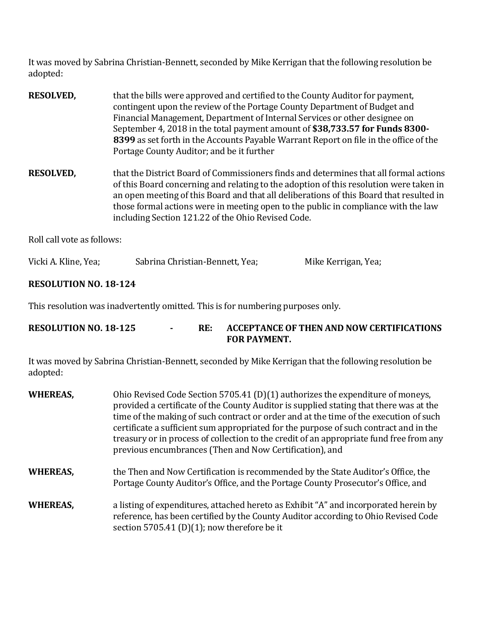It was moved by Sabrina Christian-Bennett, seconded by Mike Kerrigan that the following resolution be adopted:

| <b>RESOLVED,</b> | that the bills were approved and certified to the County Auditor for payment,<br>contingent upon the review of the Portage County Department of Budget and<br>Financial Management, Department of Internal Services or other designee on<br>September 4, 2018 in the total payment amount of \$38,733.57 for Funds 8300-<br>8399 as set forth in the Accounts Payable Warrant Report on file in the office of the<br>Portage County Auditor; and be it further |
|------------------|----------------------------------------------------------------------------------------------------------------------------------------------------------------------------------------------------------------------------------------------------------------------------------------------------------------------------------------------------------------------------------------------------------------------------------------------------------------|
| <b>RESOLVED,</b> | that the District Board of Commissioners finds and determines that all formal actions<br>of this Board concerning and relating to the adoption of this resolution were taken in<br>an open meeting of this Board and that all deliberations of this Board that resulted in<br>those formal actions were in meeting open to the public in compliance with the law<br>including Section 121.22 of the Ohio Revised Code.                                         |

Roll call vote as follows:

| Vicki A. Kline, Yea; | Sabrina Christian-Bennett, Yea; | Mike Kerrigan, Yea; |
|----------------------|---------------------------------|---------------------|
|                      |                                 |                     |

# **RESOLUTION NO. 18-124**

This resolution was inadvertently omitted. This is for numbering purposes only.

| <b>RESOLUTION NO. 18-125</b> | RE: | ACCEPTANCE OF THEN AND NOW CERTIFICATIONS |
|------------------------------|-----|-------------------------------------------|
|                              |     | <b>FOR PAYMENT.</b>                       |

It was moved by Sabrina Christian-Bennett, seconded by Mike Kerrigan that the following resolution be adopted:

| <b>WHEREAS,</b> | Ohio Revised Code Section 5705.41 (D)(1) authorizes the expenditure of moneys,<br>provided a certificate of the County Auditor is supplied stating that there was at the<br>time of the making of such contract or order and at the time of the execution of such<br>certificate a sufficient sum appropriated for the purpose of such contract and in the<br>treasury or in process of collection to the credit of an appropriate fund free from any<br>previous encumbrances (Then and Now Certification), and |
|-----------------|------------------------------------------------------------------------------------------------------------------------------------------------------------------------------------------------------------------------------------------------------------------------------------------------------------------------------------------------------------------------------------------------------------------------------------------------------------------------------------------------------------------|
| <b>WHEREAS,</b> | the Then and Now Certification is recommended by the State Auditor's Office, the<br>Portage County Auditor's Office, and the Portage County Prosecutor's Office, and                                                                                                                                                                                                                                                                                                                                             |
| <b>WHEREAS,</b> | a listing of expenditures, attached hereto as Exhibit "A" and incorporated herein by<br>reference, has been certified by the County Auditor according to Ohio Revised Code<br>section 5705.41 (D)(1); now therefore be it                                                                                                                                                                                                                                                                                        |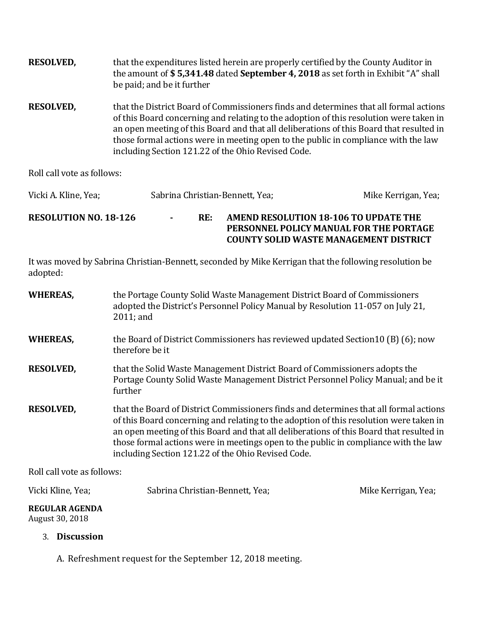| <b>RESOLVED,</b> | that the expenditures listed herein are properly certified by the County Auditor in<br>the amount of \$5,341.48 dated September 4, 2018 as set forth in Exhibit "A" shall<br>be paid; and be it further                                                                                                                                                                                                                |
|------------------|------------------------------------------------------------------------------------------------------------------------------------------------------------------------------------------------------------------------------------------------------------------------------------------------------------------------------------------------------------------------------------------------------------------------|
| <b>RESOLVED,</b> | that the District Board of Commissioners finds and determines that all formal actions<br>of this Board concerning and relating to the adoption of this resolution were taken in<br>an open meeting of this Board and that all deliberations of this Board that resulted in<br>those formal actions were in meeting open to the public in compliance with the law<br>including Section 121.22 of the Ohio Revised Code. |

Roll call vote as follows:

| Vicki A. Kline, Yea;         |        |     | Sabrina Christian-Bennett, Yea;<br>Mike Kerrigan, Yea;                                                                            |
|------------------------------|--------|-----|-----------------------------------------------------------------------------------------------------------------------------------|
| <b>RESOLUTION NO. 18-126</b> | $\sim$ | RE: | AMEND RESOLUTION 18-106 TO UPDATE THE<br>PERSONNEL POLICY MANUAL FOR THE PORTAGE<br><b>COUNTY SOLID WASTE MANAGEMENT DISTRICT</b> |

It was moved by Sabrina Christian-Bennett, seconded by Mike Kerrigan that the following resolution be adopted:

| <b>WHEREAS,</b>  | the Portage County Solid Waste Management District Board of Commissioners<br>adopted the District's Personnel Policy Manual by Resolution 11-057 on July 21,<br>$2011$ ; and                                                                                                                                                                                                                                            |
|------------------|-------------------------------------------------------------------------------------------------------------------------------------------------------------------------------------------------------------------------------------------------------------------------------------------------------------------------------------------------------------------------------------------------------------------------|
| <b>WHEREAS,</b>  | the Board of District Commissioners has reviewed updated Section 10 (B) (6); now<br>therefore be it                                                                                                                                                                                                                                                                                                                     |
| <b>RESOLVED,</b> | that the Solid Waste Management District Board of Commissioners adopts the<br>Portage County Solid Waste Management District Personnel Policy Manual; and be it<br>further                                                                                                                                                                                                                                              |
| <b>RESOLVED,</b> | that the Board of District Commissioners finds and determines that all formal actions<br>of this Board concerning and relating to the adoption of this resolution were taken in<br>an open meeting of this Board and that all deliberations of this Board that resulted in<br>those formal actions were in meetings open to the public in compliance with the law<br>including Section 121.22 of the Ohio Revised Code. |
|                  |                                                                                                                                                                                                                                                                                                                                                                                                                         |

Roll call vote as follows:

| Vicki Kline, Yea;                        | Sabrina Christian-Bennett, Yea; | Mike Kerrigan, Yea; |
|------------------------------------------|---------------------------------|---------------------|
| <b>REGULAR AGENDA</b><br>August 30, 2018 |                                 |                     |

# 3. **Discussion**

A. Refreshment request for the September 12, 2018 meeting.